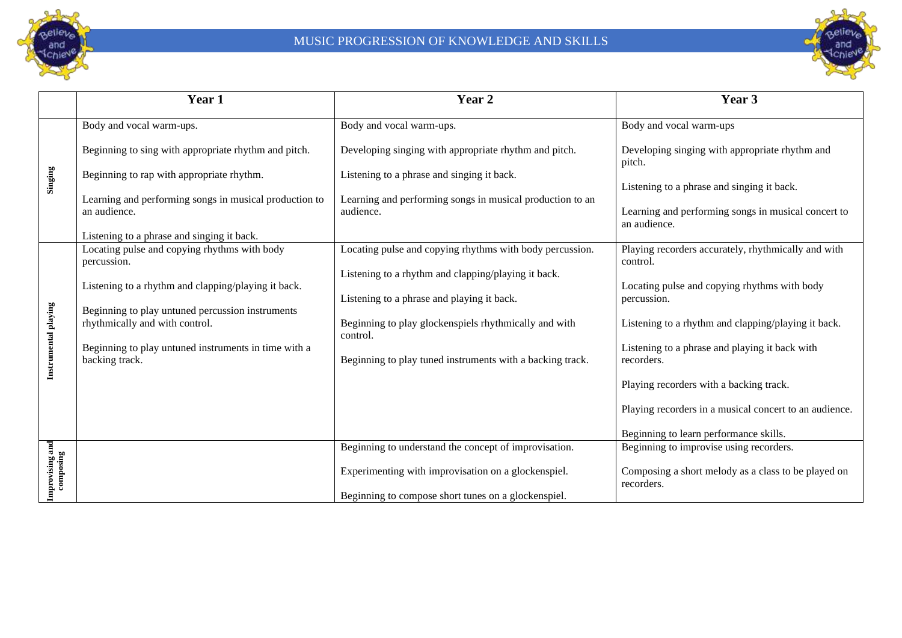



|                              | Year 1                                                                                     | Year 2                                                            | Year 3                                                              |
|------------------------------|--------------------------------------------------------------------------------------------|-------------------------------------------------------------------|---------------------------------------------------------------------|
| Singing                      | Body and vocal warm-ups.                                                                   | Body and vocal warm-ups.                                          | Body and vocal warm-ups                                             |
|                              | Beginning to sing with appropriate rhythm and pitch.                                       | Developing singing with appropriate rhythm and pitch.             | Developing singing with appropriate rhythm and<br>pitch.            |
|                              | Beginning to rap with appropriate rhythm.                                                  | Listening to a phrase and singing it back.                        | Listening to a phrase and singing it back.                          |
|                              | Learning and performing songs in musical production to                                     | Learning and performing songs in musical production to an         |                                                                     |
|                              | an audience.                                                                               | audience.                                                         | Learning and performing songs in musical concert to<br>an audience. |
|                              | Listening to a phrase and singing it back.<br>Locating pulse and copying rhythms with body | Locating pulse and copying rhythms with body percussion.          | Playing recorders accurately, rhythmically and with                 |
| Instrumental playing         | percussion.                                                                                |                                                                   | control.                                                            |
|                              | Listening to a rhythm and clapping/playing it back.                                        | Listening to a rhythm and clapping/playing it back.               | Locating pulse and copying rhythms with body                        |
|                              |                                                                                            | Listening to a phrase and playing it back.                        | percussion.                                                         |
|                              | Beginning to play untuned percussion instruments<br>rhythmically and with control.         | Beginning to play glockenspiels rhythmically and with<br>control. | Listening to a rhythm and clapping/playing it back.                 |
|                              | Beginning to play untuned instruments in time with a<br>backing track.                     | Beginning to play tuned instruments with a backing track.         | Listening to a phrase and playing it back with<br>recorders.        |
|                              |                                                                                            |                                                                   | Playing recorders with a backing track.                             |
|                              |                                                                                            |                                                                   | Playing recorders in a musical concert to an audience.              |
|                              |                                                                                            |                                                                   | Beginning to learn performance skills.                              |
|                              |                                                                                            | Beginning to understand the concept of improvisation.             | Beginning to improvise using recorders.                             |
| Improvising and<br>composing |                                                                                            | Experimenting with improvisation on a glockenspiel.               | Composing a short melody as a class to be played on<br>recorders.   |
|                              |                                                                                            | Beginning to compose short tunes on a glockenspiel.               |                                                                     |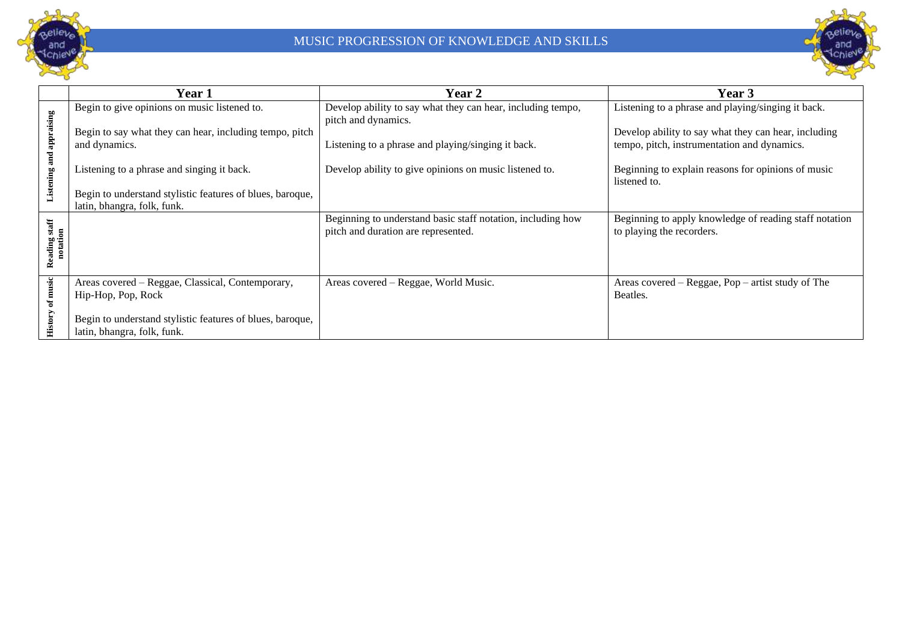



|                                       | Year 1                                                                                                                                                                                                                                                             | <b>Year 2</b>                                                                                                                                                                                      | Year 3                                                                                                                                                                                                                          |
|---------------------------------------|--------------------------------------------------------------------------------------------------------------------------------------------------------------------------------------------------------------------------------------------------------------------|----------------------------------------------------------------------------------------------------------------------------------------------------------------------------------------------------|---------------------------------------------------------------------------------------------------------------------------------------------------------------------------------------------------------------------------------|
| Listening and appraising              | Begin to give opinions on music listened to.<br>Begin to say what they can hear, including tempo, pitch<br>and dynamics.<br>Listening to a phrase and singing it back.<br>Begin to understand stylistic features of blues, baroque,<br>latin, bhangra, folk, funk. | Develop ability to say what they can hear, including tempo,<br>pitch and dynamics.<br>Listening to a phrase and playing/singing it back.<br>Develop ability to give opinions on music listened to. | Listening to a phrase and playing/singing it back.<br>Develop ability to say what they can hear, including<br>tempo, pitch, instrumentation and dynamics.<br>Beginning to explain reasons for opinions of music<br>listened to. |
| $_{\rm{satf}}$<br>notation<br>Reading |                                                                                                                                                                                                                                                                    | Beginning to understand basic staff notation, including how<br>pitch and duration are represented.                                                                                                 | Beginning to apply knowledge of reading staff notation<br>to playing the recorders.                                                                                                                                             |
| History of music                      | Areas covered – Reggae, Classical, Contemporary,<br>Hip-Hop, Pop, Rock<br>Begin to understand stylistic features of blues, baroque,<br>latin, bhangra, folk, funk.                                                                                                 | Areas covered – Reggae, World Music.                                                                                                                                                               | Areas covered $-$ Reggae, Pop $-$ artist study of The<br>Beatles.                                                                                                                                                               |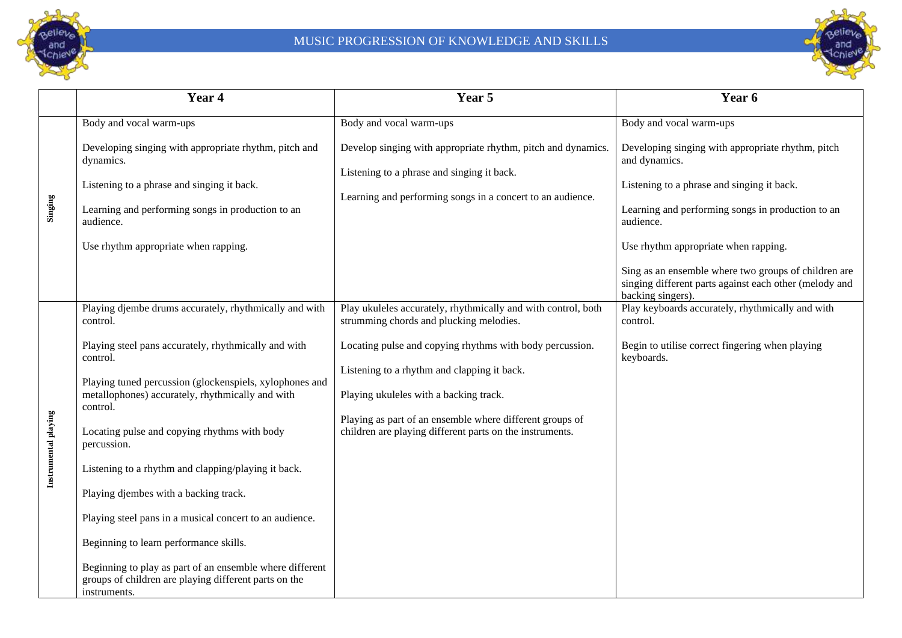



|                      | Year 4                                                                                                                            | Year 5                                                                                                               | Year 6                                                                                                                              |
|----------------------|-----------------------------------------------------------------------------------------------------------------------------------|----------------------------------------------------------------------------------------------------------------------|-------------------------------------------------------------------------------------------------------------------------------------|
| Singing              | Body and vocal warm-ups                                                                                                           | Body and vocal warm-ups                                                                                              | Body and vocal warm-ups                                                                                                             |
|                      | Developing singing with appropriate rhythm, pitch and<br>dynamics.                                                                | Develop singing with appropriate rhythm, pitch and dynamics.<br>Listening to a phrase and singing it back.           | Developing singing with appropriate rhythm, pitch<br>and dynamics.                                                                  |
|                      | Listening to a phrase and singing it back.                                                                                        | Learning and performing songs in a concert to an audience.                                                           | Listening to a phrase and singing it back.                                                                                          |
|                      | Learning and performing songs in production to an<br>audience.                                                                    |                                                                                                                      | Learning and performing songs in production to an<br>audience.                                                                      |
|                      | Use rhythm appropriate when rapping.                                                                                              |                                                                                                                      | Use rhythm appropriate when rapping.                                                                                                |
|                      |                                                                                                                                   |                                                                                                                      | Sing as an ensemble where two groups of children are<br>singing different parts against each other (melody and<br>backing singers). |
| Instrumental playing | Playing djembe drums accurately, rhythmically and with<br>control.                                                                | Play ukuleles accurately, rhythmically and with control, both<br>strumming chords and plucking melodies.             | Play keyboards accurately, rhythmically and with<br>control.                                                                        |
|                      | Playing steel pans accurately, rhythmically and with<br>control.                                                                  | Locating pulse and copying rhythms with body percussion.<br>Listening to a rhythm and clapping it back.              | Begin to utilise correct fingering when playing<br>keyboards.                                                                       |
|                      | Playing tuned percussion (glockenspiels, xylophones and<br>metallophones) accurately, rhythmically and with<br>control.           | Playing ukuleles with a backing track.                                                                               |                                                                                                                                     |
|                      | Locating pulse and copying rhythms with body<br>percussion.                                                                       | Playing as part of an ensemble where different groups of<br>children are playing different parts on the instruments. |                                                                                                                                     |
|                      | Listening to a rhythm and clapping/playing it back.                                                                               |                                                                                                                      |                                                                                                                                     |
|                      | Playing djembes with a backing track.                                                                                             |                                                                                                                      |                                                                                                                                     |
|                      | Playing steel pans in a musical concert to an audience.                                                                           |                                                                                                                      |                                                                                                                                     |
|                      | Beginning to learn performance skills.                                                                                            |                                                                                                                      |                                                                                                                                     |
|                      | Beginning to play as part of an ensemble where different<br>groups of children are playing different parts on the<br>instruments. |                                                                                                                      |                                                                                                                                     |